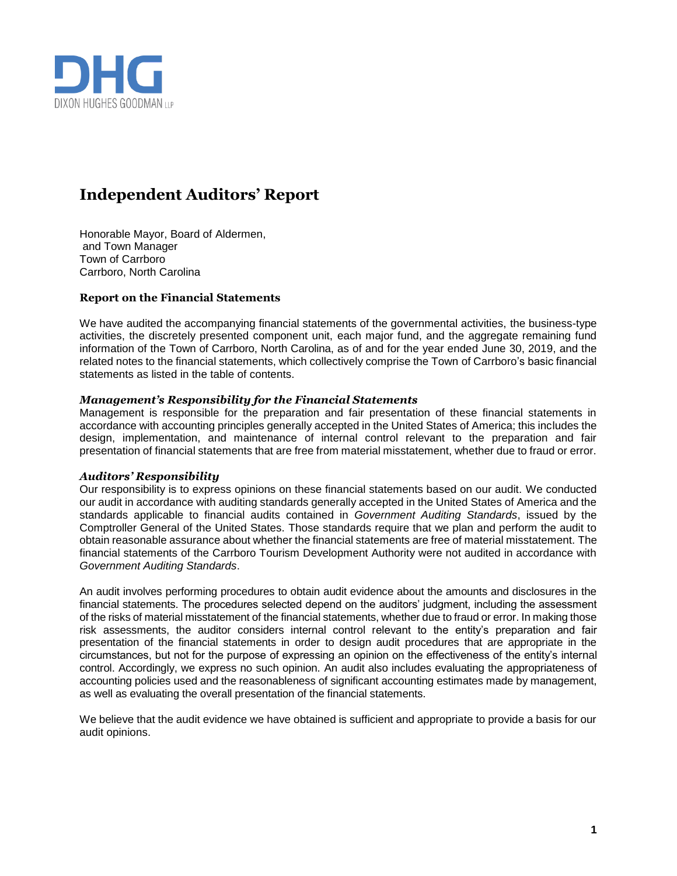

# **Independent Auditors' Report**

Honorable Mayor, Board of Aldermen, and Town Manager Town of Carrboro Carrboro, North Carolina

# **Report on the Financial Statements**

We have audited the accompanying financial statements of the governmental activities, the business-type activities, the discretely presented component unit, each major fund, and the aggregate remaining fund information of the Town of Carrboro, North Carolina, as of and for the year ended June 30, 2019, and the related notes to the financial statements, which collectively comprise the Town of Carrboro's basic financial statements as listed in the table of contents.

# *Management's Responsibility for the Financial Statements*

Management is responsible for the preparation and fair presentation of these financial statements in accordance with accounting principles generally accepted in the United States of America; this includes the design, implementation, and maintenance of internal control relevant to the preparation and fair presentation of financial statements that are free from material misstatement, whether due to fraud or error.

## *Auditors' Responsibility*

Our responsibility is to express opinions on these financial statements based on our audit. We conducted our audit in accordance with auditing standards generally accepted in the United States of America and the standards applicable to financial audits contained in *Government Auditing Standards*, issued by the Comptroller General of the United States. Those standards require that we plan and perform the audit to obtain reasonable assurance about whether the financial statements are free of material misstatement. The financial statements of the Carrboro Tourism Development Authority were not audited in accordance with *Government Auditing Standards*.

An audit involves performing procedures to obtain audit evidence about the amounts and disclosures in the financial statements. The procedures selected depend on the auditors' judgment, including the assessment of the risks of material misstatement of the financial statements, whether due to fraud or error. In making those risk assessments, the auditor considers internal control relevant to the entity's preparation and fair presentation of the financial statements in order to design audit procedures that are appropriate in the circumstances, but not for the purpose of expressing an opinion on the effectiveness of the entity's internal control. Accordingly, we express no such opinion. An audit also includes evaluating the appropriateness of accounting policies used and the reasonableness of significant accounting estimates made by management, as well as evaluating the overall presentation of the financial statements.

We believe that the audit evidence we have obtained is sufficient and appropriate to provide a basis for our audit opinions.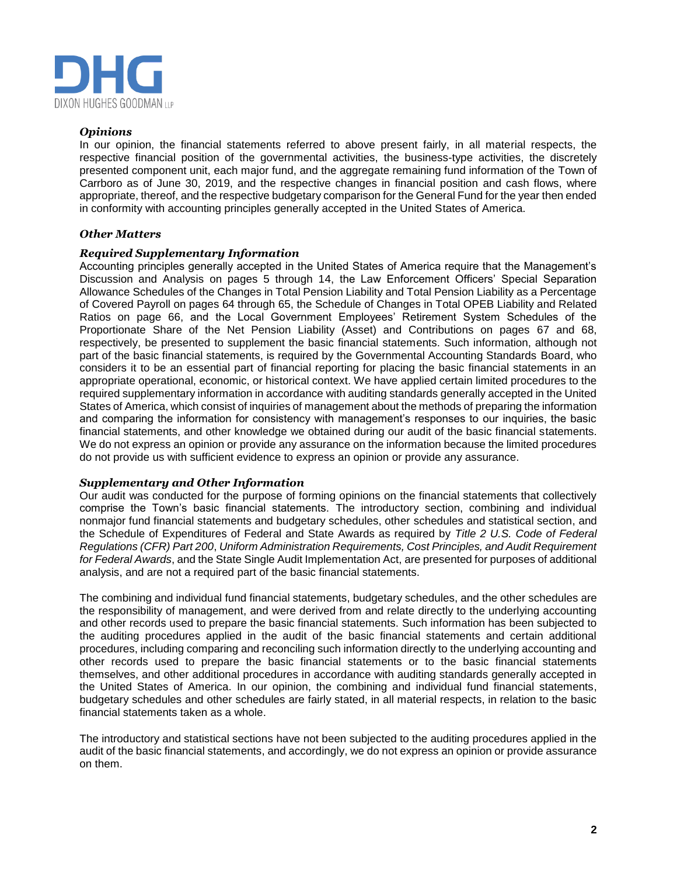

#### *Opinions*

In our opinion, the financial statements referred to above present fairly, in all material respects, the respective financial position of the governmental activities, the business-type activities, the discretely presented component unit, each major fund, and the aggregate remaining fund information of the Town of Carrboro as of June 30, 2019, and the respective changes in financial position and cash flows, where appropriate, thereof, and the respective budgetary comparison for the General Fund for the year then ended in conformity with accounting principles generally accepted in the United States of America.

## *Other Matters*

## *Required Supplementary Information*

Accounting principles generally accepted in the United States of America require that the Management's Discussion and Analysis on pages 5 through 14, the Law Enforcement Officers' Special Separation Allowance Schedules of the Changes in Total Pension Liability and Total Pension Liability as a Percentage of Covered Payroll on pages 64 through 65, the Schedule of Changes in Total OPEB Liability and Related Ratios on page 66, and the Local Government Employees' Retirement System Schedules of the Proportionate Share of the Net Pension Liability (Asset) and Contributions on pages 67 and 68, respectively, be presented to supplement the basic financial statements. Such information, although not part of the basic financial statements, is required by the Governmental Accounting Standards Board, who considers it to be an essential part of financial reporting for placing the basic financial statements in an appropriate operational, economic, or historical context. We have applied certain limited procedures to the required supplementary information in accordance with auditing standards generally accepted in the United States of America, which consist of inquiries of management about the methods of preparing the information and comparing the information for consistency with management's responses to our inquiries, the basic financial statements, and other knowledge we obtained during our audit of the basic financial statements. We do not express an opinion or provide any assurance on the information because the limited procedures do not provide us with sufficient evidence to express an opinion or provide any assurance.

## *Supplementary and Other Information*

Our audit was conducted for the purpose of forming opinions on the financial statements that collectively comprise the Town's basic financial statements. The introductory section, combining and individual nonmajor fund financial statements and budgetary schedules, other schedules and statistical section, and the Schedule of Expenditures of Federal and State Awards as required by *Title 2 U.S. Code of Federal Regulations (CFR) Part 200*, *Uniform Administration Requirements, Cost Principles, and Audit Requirement for Federal Awards*, and the State Single Audit Implementation Act, are presented for purposes of additional analysis, and are not a required part of the basic financial statements.

The combining and individual fund financial statements, budgetary schedules, and the other schedules are the responsibility of management, and were derived from and relate directly to the underlying accounting and other records used to prepare the basic financial statements. Such information has been subjected to the auditing procedures applied in the audit of the basic financial statements and certain additional procedures, including comparing and reconciling such information directly to the underlying accounting and other records used to prepare the basic financial statements or to the basic financial statements themselves, and other additional procedures in accordance with auditing standards generally accepted in the United States of America. In our opinion, the combining and individual fund financial statements, budgetary schedules and other schedules are fairly stated, in all material respects, in relation to the basic financial statements taken as a whole.

The introductory and statistical sections have not been subjected to the auditing procedures applied in the audit of the basic financial statements, and accordingly, we do not express an opinion or provide assurance on them.